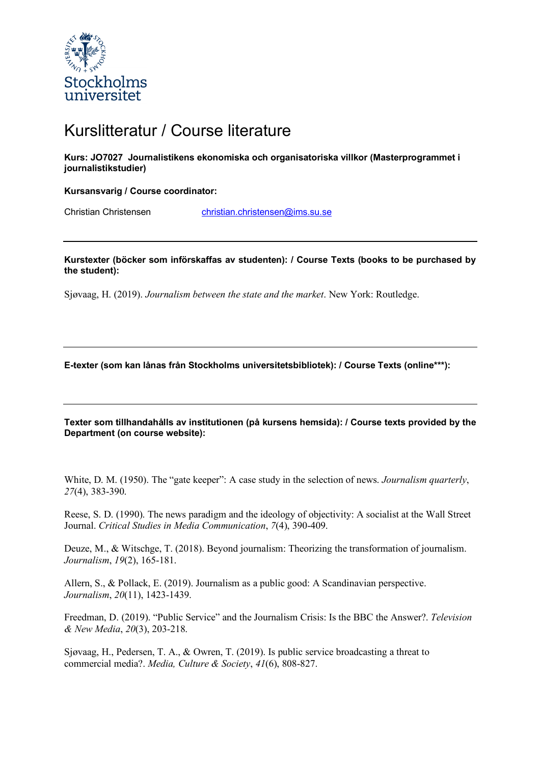

## Kurslitteratur / Course literature

**Kurs: JO7027 Journalistikens ekonomiska och organisatoriska villkor (Masterprogrammet i journalistikstudier)**

**Kursansvarig / Course coordinator:** 

Christian Christensen christian.christensen@ims.su.se

**Kurstexter (böcker som införskaffas av studenten): / Course Texts (books to be purchased by the student):**

Sjøvaag, H. (2019). *Journalism between the state and the market*. New York: Routledge.

**E-texter (som kan lånas från Stockholms universitetsbibliotek): / Course Texts (online\*\*\*):**

**Texter som tillhandahålls av institutionen (på kursens hemsida): / Course texts provided by the Department (on course website):**

White, D. M. (1950). The "gate keeper": A case study in the selection of news. *Journalism quarterly*, *27*(4), 383-390.

Reese, S. D. (1990). The news paradigm and the ideology of objectivity: A socialist at the Wall Street Journal. *Critical Studies in Media Communication*, *7*(4), 390-409.

Deuze, M., & Witschge, T. (2018). Beyond journalism: Theorizing the transformation of journalism. *Journalism*, *19*(2), 165-181.

Allern, S., & Pollack, E. (2019). Journalism as a public good: A Scandinavian perspective. *Journalism*, *20*(11), 1423-1439.

Freedman, D. (2019). "Public Service" and the Journalism Crisis: Is the BBC the Answer?. *Television & New Media*, *20*(3), 203-218.

Sjøvaag, H., Pedersen, T. A., & Owren, T. (2019). Is public service broadcasting a threat to commercial media?. *Media, Culture & Society*, *41*(6), 808-827.